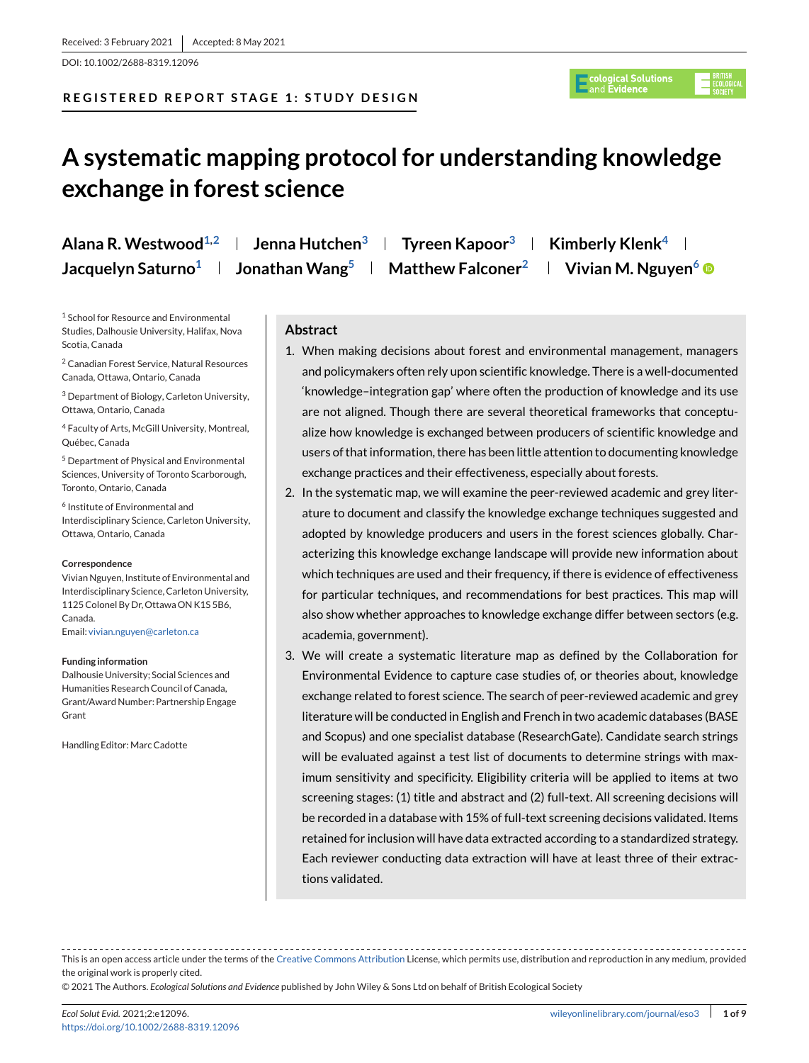DOI: 10.1002/2688-8319.12096

# **REGISTERED REPORT STAGE 1: STUDY DESIGN**



# **A systematic mapping protocol for understanding knowledge exchange in forest science**

| Alana R. Westwood <sup>1,2</sup> | Jenna Hutchen <sup>3</sup> | Tyreen Kapoor <sup>3</sup>    | Kimberly Klenk <sup>4</sup>     |
|----------------------------------|----------------------------|-------------------------------|---------------------------------|
| Jacquelyn Saturno <sup>1</sup>   | Jonathan Wang <sup>5</sup> | Matthew Falconer <sup>2</sup> | Vivian M. Nguyen <sup>6</sup> ® |

<sup>1</sup> School for Resource and Environmental Studies, Dalhousie University, Halifax, Nova Scotia, Canada

<sup>2</sup> Canadian Forest Service, Natural Resources Canada, Ottawa, Ontario, Canada

<sup>3</sup> Department of Biology, Carleton University, Ottawa, Ontario, Canada

<sup>4</sup> Faculty of Arts, McGill University, Montreal, Québec, Canada

<sup>5</sup> Department of Physical and Environmental Sciences, University of Toronto Scarborough, Toronto, Ontario, Canada

<sup>6</sup> Institute of Environmental and Interdisciplinary Science, Carleton University, Ottawa, Ontario, Canada

#### **Correspondence**

Vivian Nguyen, Institute of Environmental and Interdisciplinary Science, Carleton University, 1125 Colonel By Dr, Ottawa ON K1S 5B6, Canada. Email: [vivian.nguyen@carleton.ca](mailto:vivian.nguyen@carleton.ca)

#### **Funding information**

Dalhousie University; Social Sciences and Humanities Research Council of Canada, Grant/Award Number: Partnership Engage Grant

Handling Editor: Marc Cadotte

# **Abstract**

- 1. When making decisions about forest and environmental management, managers and policymakers often rely upon scientific knowledge. There is a well-documented 'knowledge–integration gap' where often the production of knowledge and its use are not aligned. Though there are several theoretical frameworks that conceptualize how knowledge is exchanged between producers of scientific knowledge and users of that information, there has been little attention to documenting knowledge exchange practices and their effectiveness, especially about forests.
- 2. In the systematic map, we will examine the peer-reviewed academic and grey literature to document and classify the knowledge exchange techniques suggested and adopted by knowledge producers and users in the forest sciences globally. Characterizing this knowledge exchange landscape will provide new information about which techniques are used and their frequency, if there is evidence of effectiveness for particular techniques, and recommendations for best practices. This map will also show whether approaches to knowledge exchange differ between sectors (e.g. academia, government).
- 3. We will create a systematic literature map as defined by the Collaboration for Environmental Evidence to capture case studies of, or theories about, knowledge exchange related to forest science. The search of peer-reviewed academic and grey literature will be conducted in English and French in two academic databases (BASE and Scopus) and one specialist database (ResearchGate). Candidate search strings will be evaluated against a test list of documents to determine strings with maximum sensitivity and specificity. Eligibility criteria will be applied to items at two screening stages: (1) title and abstract and (2) full-text. All screening decisions will be recorded in a database with 15% of full-text screening decisions validated. Items retained for inclusion will have data extracted according to a standardized strategy. Each reviewer conducting data extraction will have at least three of their extractions validated.

This is an open access article under the terms of the [Creative Commons Attribution](http://creativecommons.org/licenses/by/4.0/) License, which permits use, distribution and reproduction in any medium, provided the original work is properly cited.

© 2021 The Authors. *Ecological Solutions and Evidence* published by John Wiley & Sons Ltd on behalf of British Ecological Society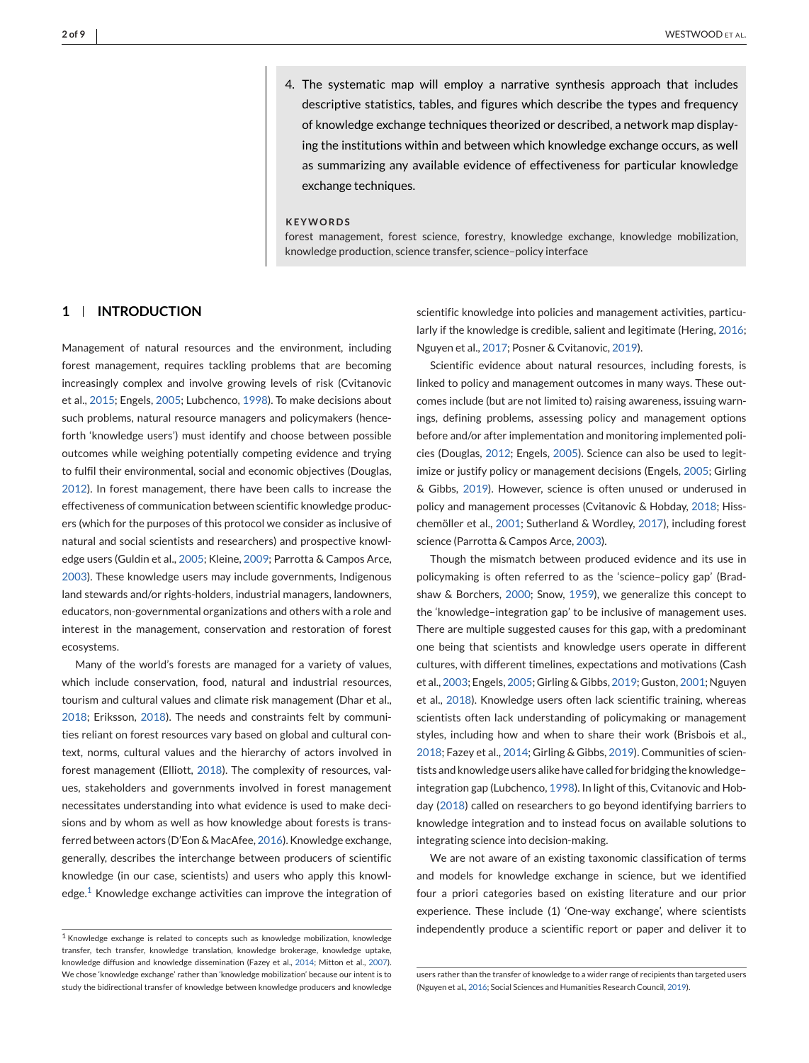4. The systematic map will employ a narrative synthesis approach that includes descriptive statistics, tables, and figures which describe the types and frequency of knowledge exchange techniques theorized or described, a network map displaying the institutions within and between which knowledge exchange occurs, as well as summarizing any available evidence of effectiveness for particular knowledge exchange techniques.

#### **KEYWORDS**

forest management, forest science, forestry, knowledge exchange, knowledge mobilization, knowledge production, science transfer, science–policy interface

# **1 INTRODUCTION**

Management of natural resources and the environment, including forest management, requires tackling problems that are becoming increasingly complex and involve growing levels of risk (Cvitanovic et al., [2015;](#page-6-0) Engels, [2005;](#page-6-0) Lubchenco, [1998\)](#page-7-0). To make decisions about such problems, natural resource managers and policymakers (henceforth 'knowledge users') must identify and choose between possible outcomes while weighing potentially competing evidence and trying to fulfil their environmental, social and economic objectives (Douglas, [2012\)](#page-6-0). In forest management, there have been calls to increase the effectiveness of communication between scientific knowledge producers (which for the purposes of this protocol we consider as inclusive of natural and social scientists and researchers) and prospective knowledge users (Guldin et al., [2005;](#page-6-0) Kleine, [2009;](#page-7-0) Parrotta & Campos Arce, [2003\)](#page-7-0). These knowledge users may include governments, Indigenous land stewards and/or rights-holders, industrial managers, landowners, educators, non-governmental organizations and others with a role and interest in the management, conservation and restoration of forest ecosystems.

Many of the world's forests are managed for a variety of values, which include conservation, food, natural and industrial resources, tourism and cultural values and climate risk management (Dhar et al., [2018;](#page-6-0) Eriksson, [2018\)](#page-6-0). The needs and constraints felt by communities reliant on forest resources vary based on global and cultural context, norms, cultural values and the hierarchy of actors involved in forest management (Elliott, [2018\)](#page-6-0). The complexity of resources, values, stakeholders and governments involved in forest management necessitates understanding into what evidence is used to make decisions and by whom as well as how knowledge about forests is transferred between actors (D'Eon & MacAfee, [2016\)](#page-6-0). Knowledge exchange, generally, describes the interchange between producers of scientific knowledge (in our case, scientists) and users who apply this knowledge.<sup>1</sup> Knowledge exchange activities can improve the integration of scientific knowledge into policies and management activities, particularly if the knowledge is credible, salient and legitimate (Hering, [2016;](#page-7-0) Nguyen et al., [2017;](#page-7-0) Posner & Cvitanovic, [2019\)](#page-7-0).

Scientific evidence about natural resources, including forests, is linked to policy and management outcomes in many ways. These outcomes include (but are not limited to) raising awareness, issuing warnings, defining problems, assessing policy and management options before and/or after implementation and monitoring implemented policies (Douglas, [2012;](#page-6-0) Engels, [2005\)](#page-6-0). Science can also be used to legitimize or justify policy or management decisions (Engels, [2005;](#page-6-0) Girling & Gibbs, [2019\)](#page-6-0). However, science is often unused or underused in policy and management processes (Cvitanovic & Hobday, [2018;](#page-6-0) Hisschemöller et al., [2001;](#page-7-0) Sutherland & Wordley, [2017\)](#page-7-0), including forest science (Parrotta & Campos Arce, [2003\)](#page-7-0).

Though the mismatch between produced evidence and its use in policymaking is often referred to as the 'science–policy gap' (Bradshaw & Borchers, [2000;](#page-6-0) Snow, [1959\)](#page-7-0), we generalize this concept to the 'knowledge–integration gap' to be inclusive of management uses. There are multiple suggested causes for this gap, with a predominant one being that scientists and knowledge users operate in different cultures, with different timelines, expectations and motivations (Cash et al., [2003;](#page-6-0) Engels, [2005;](#page-6-0) Girling & Gibbs, [2019;](#page-6-0) Guston, [2001;](#page-7-0) Nguyen et al., [2018\)](#page-7-0). Knowledge users often lack scientific training, whereas scientists often lack understanding of policymaking or management styles, including how and when to share their work (Brisbois et al., [2018;](#page-6-0) Fazey et al., [2014;](#page-6-0) Girling & Gibbs, [2019\)](#page-6-0). Communities of scientists and knowledge users alike have called for bridging the knowledge– integration gap (Lubchenco, [1998\)](#page-7-0). In light of this, Cvitanovic and Hobday [\(2018\)](#page-6-0) called on researchers to go beyond identifying barriers to knowledge integration and to instead focus on available solutions to integrating science into decision-making.

We are not aware of an existing taxonomic classification of terms and models for knowledge exchange in science, but we identified four a priori categories based on existing literature and our prior experience. These include (1) 'One-way exchange', where scientists independently produce a scientific report or paper and deliver it to

 $1$  Knowledge exchange is related to concepts such as knowledge mobilization, knowledge transfer, tech transfer, knowledge translation, knowledge brokerage, knowledge uptake, knowledge diffusion and knowledge dissemination (Fazey et al., [2014;](#page-6-0) Mitton et al., [2007\)](#page-7-0). We chose 'knowledge exchange' rather than 'knowledge mobilization' because our intent is to study the bidirectional transfer of knowledge between knowledge producers and knowledge

users rather than the transfer of knowledge to a wider range of recipients than targeted users (Nguyen et al., [2016;](#page-7-0) Social Sciences and Humanities Research Council, [2019\)](#page-7-0).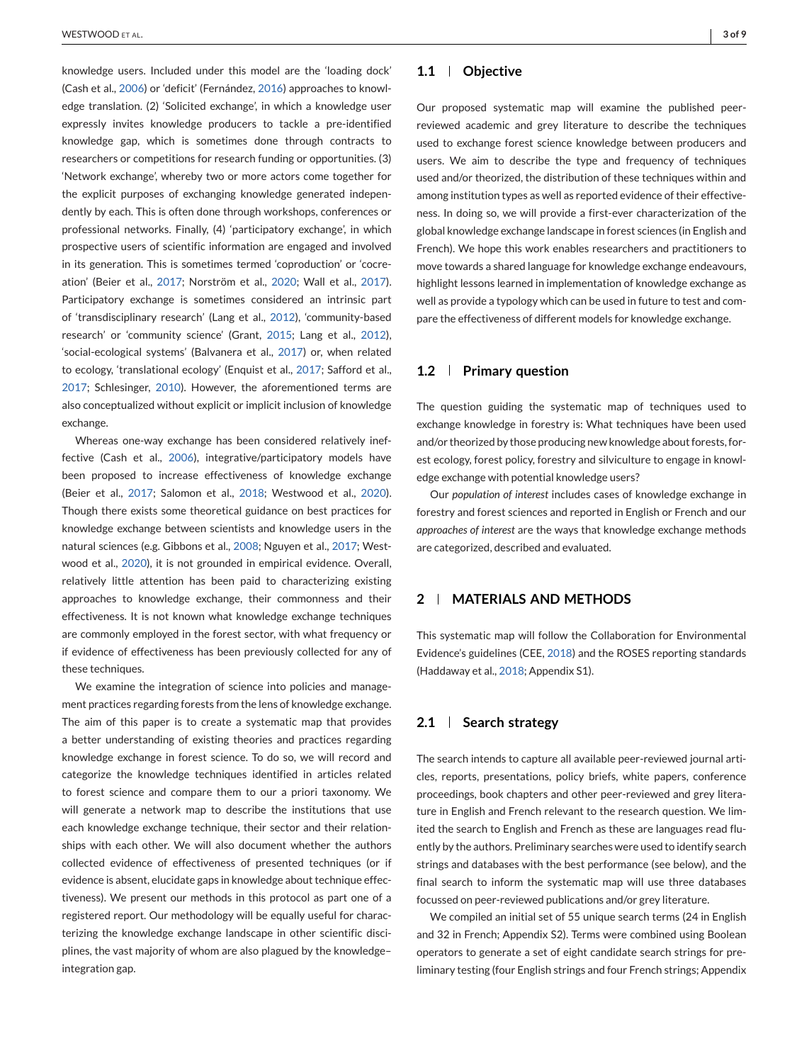knowledge users. Included under this model are the 'loading dock' (Cash et al., [2006\)](#page-6-0) or 'deficit' (Fernández, [2016\)](#page-6-0) approaches to knowledge translation. (2) 'Solicited exchange', in which a knowledge user expressly invites knowledge producers to tackle a pre-identified knowledge gap, which is sometimes done through contracts to researchers or competitions for research funding or opportunities. (3) 'Network exchange', whereby two or more actors come together for the explicit purposes of exchanging knowledge generated independently by each. This is often done through workshops, conferences or professional networks. Finally, (4) 'participatory exchange', in which prospective users of scientific information are engaged and involved in its generation. This is sometimes termed 'coproduction' or 'cocreation' (Beier et al., [2017;](#page-6-0) Norström et al., [2020;](#page-7-0) Wall et al., [2017\)](#page-7-0). Participatory exchange is sometimes considered an intrinsic part of 'transdisciplinary research' (Lang et al., [2012\)](#page-7-0), 'community-based research' or 'community science' (Grant, [2015;](#page-6-0) Lang et al., [2012\)](#page-7-0), 'social-ecological systems' (Balvanera et al., [2017\)](#page-6-0) or, when related to ecology, 'translational ecology' (Enquist et al., [2017;](#page-6-0) Safford et al., [2017;](#page-7-0) Schlesinger, [2010\)](#page-7-0). However, the aforementioned terms are also conceptualized without explicit or implicit inclusion of knowledge exchange.

Whereas one-way exchange has been considered relatively ineffective (Cash et al., [2006\)](#page-6-0), integrative/participatory models have been proposed to increase effectiveness of knowledge exchange (Beier et al., [2017;](#page-6-0) Salomon et al., [2018;](#page-7-0) Westwood et al., [2020\)](#page-7-0). Though there exists some theoretical guidance on best practices for knowledge exchange between scientists and knowledge users in the natural sciences (e.g. Gibbons et al., [2008;](#page-6-0) Nguyen et al., [2017;](#page-7-0) Westwood et al., [2020\)](#page-7-0), it is not grounded in empirical evidence. Overall, relatively little attention has been paid to characterizing existing approaches to knowledge exchange, their commonness and their effectiveness. It is not known what knowledge exchange techniques are commonly employed in the forest sector, with what frequency or if evidence of effectiveness has been previously collected for any of these techniques.

We examine the integration of science into policies and management practices regarding forests from the lens of knowledge exchange. The aim of this paper is to create a systematic map that provides a better understanding of existing theories and practices regarding knowledge exchange in forest science. To do so, we will record and categorize the knowledge techniques identified in articles related to forest science and compare them to our a priori taxonomy. We will generate a network map to describe the institutions that use each knowledge exchange technique, their sector and their relationships with each other. We will also document whether the authors collected evidence of effectiveness of presented techniques (or if evidence is absent, elucidate gaps in knowledge about technique effectiveness). We present our methods in this protocol as part one of a registered report. Our methodology will be equally useful for characterizing the knowledge exchange landscape in other scientific disciplines, the vast majority of whom are also plagued by the knowledge– integration gap.

## **1.1 Objective**

Our proposed systematic map will examine the published peerreviewed academic and grey literature to describe the techniques used to exchange forest science knowledge between producers and users. We aim to describe the type and frequency of techniques used and/or theorized, the distribution of these techniques within and among institution types as well as reported evidence of their effectiveness. In doing so, we will provide a first-ever characterization of the global knowledge exchange landscape in forest sciences (in English and French). We hope this work enables researchers and practitioners to move towards a shared language for knowledge exchange endeavours, highlight lessons learned in implementation of knowledge exchange as well as provide a typology which can be used in future to test and compare the effectiveness of different models for knowledge exchange.

## **1.2 Primary question**

The question guiding the systematic map of techniques used to exchange knowledge in forestry is: What techniques have been used and/or theorized by those producing new knowledge about forests, forest ecology, forest policy, forestry and silviculture to engage in knowledge exchange with potential knowledge users?

Our *population of interest* includes cases of knowledge exchange in forestry and forest sciences and reported in English or French and our *approaches of interest* are the ways that knowledge exchange methods are categorized, described and evaluated.

# **2 MATERIALS AND METHODS**

This systematic map will follow the Collaboration for Environmental Evidence's guidelines (CEE, [2018\)](#page-6-0) and the ROSES reporting standards (Haddaway et al., [2018;](#page-7-0) Appendix S1).

# **2.1 Search strategy**

The search intends to capture all available peer-reviewed journal articles, reports, presentations, policy briefs, white papers, conference proceedings, book chapters and other peer-reviewed and grey literature in English and French relevant to the research question. We limited the search to English and French as these are languages read fluently by the authors. Preliminary searches were used to identify search strings and databases with the best performance (see below), and the final search to inform the systematic map will use three databases focussed on peer-reviewed publications and/or grey literature.

We compiled an initial set of 55 unique search terms (24 in English and 32 in French; Appendix S2). Terms were combined using Boolean operators to generate a set of eight candidate search strings for preliminary testing (four English strings and four French strings; Appendix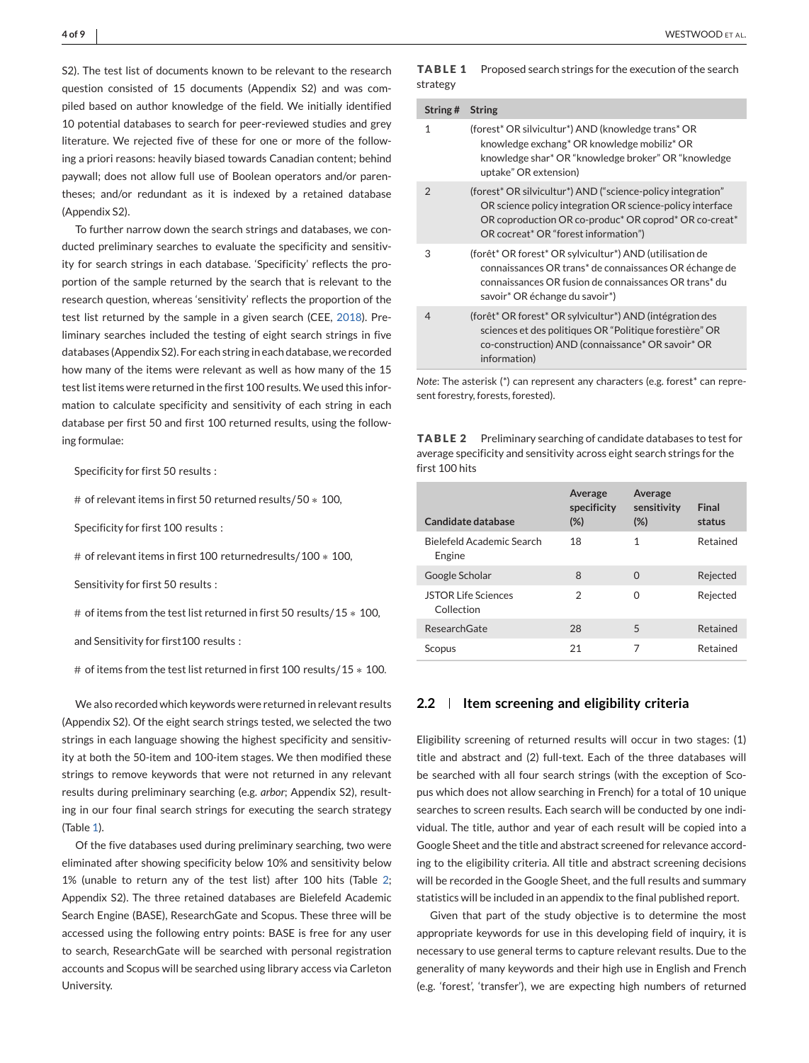S2). The test list of documents known to be relevant to the research question consisted of 15 documents (Appendix S2) and was compiled based on author knowledge of the field. We initially identified 10 potential databases to search for peer-reviewed studies and grey literature. We rejected five of these for one or more of the following a priori reasons: heavily biased towards Canadian content; behind paywall; does not allow full use of Boolean operators and/or parentheses; and/or redundant as it is indexed by a retained database (Appendix S2).

To further narrow down the search strings and databases, we conducted preliminary searches to evaluate the specificity and sensitivity for search strings in each database. 'Specificity' reflects the proportion of the sample returned by the search that is relevant to the research question, whereas 'sensitivity' reflects the proportion of the test list returned by the sample in a given search (CEE, [2018\)](#page-6-0). Preliminary searches included the testing of eight search strings in five databases (Appendix S2). For each string in each database, we recorded how many of the items were relevant as well as how many of the 15 test list items were returned in the first 100 results. We used this information to calculate specificity and sensitivity of each string in each database per first 50 and first 100 returned results, using the following formulae:

Specificity for first 50 results :

# of relevant items in first 50 returned results∕50 ∗ 100*,*

Specificity for first 100 results :

# of relevant items in first 100 returnedresults∕100 ∗ 100*,*

Sensitivity for first 50 results :

# of items from the test list returned in first 50 results∕15 ∗ 100*,*

and Sensitivity for first100 results :

# of items from the test list returned in first 100 results/15 \* 100.

We also recorded which keywords were returned in relevant results (Appendix S2). Of the eight search strings tested, we selected the two strings in each language showing the highest specificity and sensitivity at both the 50-item and 100-item stages. We then modified these strings to remove keywords that were not returned in any relevant results during preliminary searching (e.g. *arbor*; Appendix S2), resulting in our four final search strings for executing the search strategy (Table 1).

Of the five databases used during preliminary searching, two were eliminated after showing specificity below 10% and sensitivity below 1% (unable to return any of the test list) after 100 hits (Table 2; Appendix S2). The three retained databases are Bielefeld Academic Search Engine (BASE), ResearchGate and Scopus. These three will be accessed using the following entry points: BASE is free for any user to search, ResearchGate will be searched with personal registration accounts and Scopus will be searched using library access via Carleton University.

|          | <b>TABLE 1</b> Proposed search strings for the execution of the search |
|----------|------------------------------------------------------------------------|
| strategy |                                                                        |

| String#        | <b>String</b>                                                                                                                                                                                                                                                 |
|----------------|---------------------------------------------------------------------------------------------------------------------------------------------------------------------------------------------------------------------------------------------------------------|
| 1              | (forest* OR silvicultur*) AND (knowledge trans* OR<br>knowledge exchang* OR knowledge mobiliz* OR<br>knowledge shar* OR "knowledge broker" OR "knowledge<br>uptake" OR extension)                                                                             |
| $\mathcal{P}$  | (forest* OR silvicultur*) AND ("science-policy integration"<br>OR science policy integration OR science-policy interface<br>OR coproduction OR co-produc <sup>*</sup> OR coprod <sup>*</sup> OR co-creat <sup>*</sup><br>OR cocreat* OR "forest information") |
| 3              | (forêt* OR forest* OR sylvicultur*) AND (utilisation de<br>connaissances OR trans <sup>*</sup> de connaissances OR échange de<br>connaissances OR fusion de connaissances OR trans <sup>*</sup> du<br>savoir* OR échange du savoir*)                          |
| $\overline{4}$ | (forêt* OR forest* OR sylvicultur*) AND (intégration des<br>sciences et des politiques OR "Politique forestière" OR<br>co-construction) AND (connaissance* OR savoir* OR<br>information)                                                                      |

*Note*: The asterisk (\*) can represent any characters (e.g. forest\* can represent forestry, forests, forested).

**TABLE 2** Preliminary searching of candidate databases to test for average specificity and sensitivity across eight search strings for the first 100 hits

| Candidate database                       | Average<br>specificity<br>$(\%)$ | Average<br>sensitivity<br>(%) | Final<br>status |
|------------------------------------------|----------------------------------|-------------------------------|-----------------|
| Bielefeld Academic Search<br>Engine      | 18                               | 1                             | Retained        |
| Google Scholar                           | 8                                | $\Omega$                      | Rejected        |
| <b>JSTOR Life Sciences</b><br>Collection | $\mathfrak{D}$                   | 0                             | Rejected        |
| ResearchGate                             | 28                               | 5                             | Retained        |
| Scopus                                   | 21                               | 7                             | Retained        |

# **2.2 Item screening and eligibility criteria**

Eligibility screening of returned results will occur in two stages: (1) title and abstract and (2) full-text. Each of the three databases will be searched with all four search strings (with the exception of Scopus which does not allow searching in French) for a total of 10 unique searches to screen results. Each search will be conducted by one individual. The title, author and year of each result will be copied into a Google Sheet and the title and abstract screened for relevance according to the eligibility criteria. All title and abstract screening decisions will be recorded in the Google Sheet, and the full results and summary statistics will be included in an appendix to the final published report.

Given that part of the study objective is to determine the most appropriate keywords for use in this developing field of inquiry, it is necessary to use general terms to capture relevant results. Due to the generality of many keywords and their high use in English and French (e.g. 'forest', 'transfer'), we are expecting high numbers of returned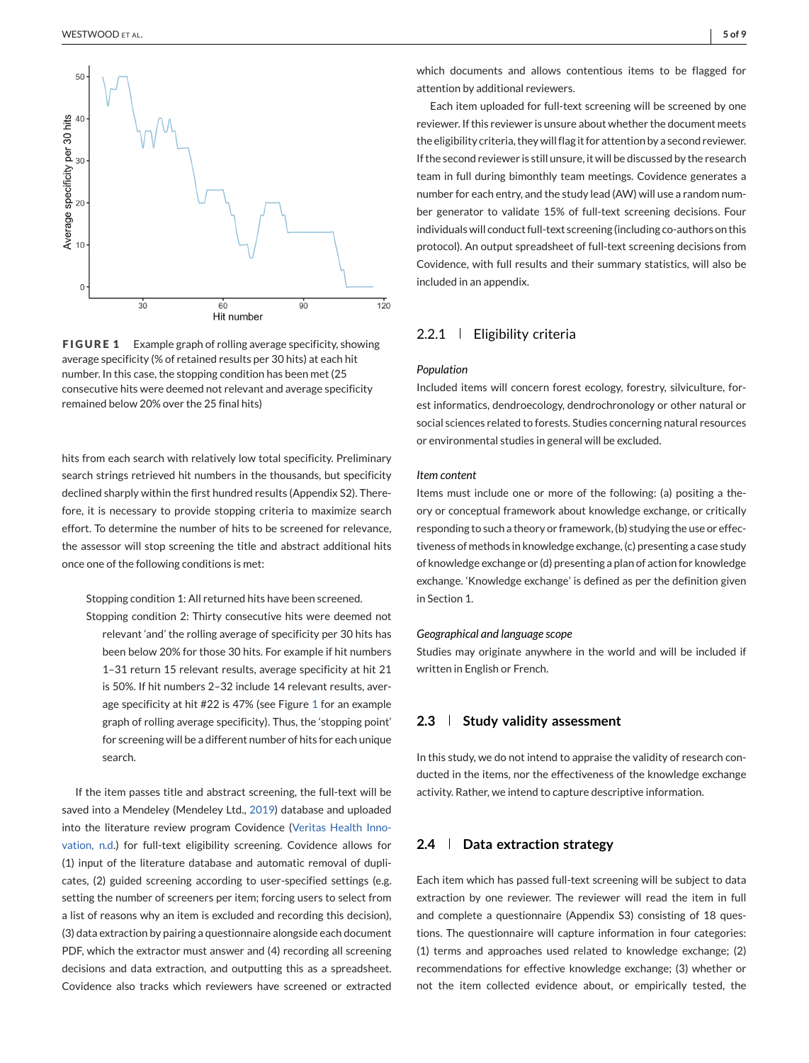<span id="page-4-0"></span>

**FIGURE 1** Example graph of rolling average specificity, showing average specificity (% of retained results per 30 hits) at each hit number. In this case, the stopping condition has been met (25 consecutive hits were deemed not relevant and average specificity remained below 20% over the 25 final hits)

hits from each search with relatively low total specificity. Preliminary search strings retrieved hit numbers in the thousands, but specificity declined sharply within the first hundred results (Appendix S2). Therefore, it is necessary to provide stopping criteria to maximize search effort. To determine the number of hits to be screened for relevance, the assessor will stop screening the title and abstract additional hits once one of the following conditions is met:

Stopping condition 1: All returned hits have been screened.

Stopping condition 2: Thirty consecutive hits were deemed not relevant 'and' the rolling average of specificity per 30 hits has been below 20% for those 30 hits. For example if hit numbers 1–31 return 15 relevant results, average specificity at hit 21 is 50%. If hit numbers 2–32 include 14 relevant results, average specificity at hit #22 is 47% (see Figure 1 for an example graph of rolling average specificity). Thus, the 'stopping point' for screening will be a different number of hits for each unique search.

If the item passes title and abstract screening, the full-text will be saved into a Mendeley (Mendeley Ltd., [2019\)](#page-7-0) database and uploaded into the literature review program Covidence [\(Veritas Health Inno](#page-7-0)[vation, n.d.](#page-7-0)) for full-text eligibility screening. Covidence allows for (1) input of the literature database and automatic removal of duplicates, (2) guided screening according to user-specified settings (e.g. setting the number of screeners per item; forcing users to select from a list of reasons why an item is excluded and recording this decision), (3) data extraction by pairing a questionnaire alongside each document PDF, which the extractor must answer and (4) recording all screening decisions and data extraction, and outputting this as a spreadsheet. Covidence also tracks which reviewers have screened or extracted

which documents and allows contentious items to be flagged for attention by additional reviewers.

Each item uploaded for full-text screening will be screened by one reviewer. If this reviewer is unsure about whether the document meets the eligibility criteria, they will flag it for attention by a second reviewer. If the second reviewer is still unsure, it will be discussed by the research team in full during bimonthly team meetings. Covidence generates a number for each entry, and the study lead (AW) will use a random number generator to validate 15% of full-text screening decisions. Four individuals will conduct full-text screening (including co-authors on this protocol). An output spreadsheet of full-text screening decisions from Covidence, with full results and their summary statistics, will also be included in an appendix.

# 2.2.1 | Eligibility criteria

## *Population*

Included items will concern forest ecology, forestry, silviculture, forest informatics, dendroecology, dendrochronology or other natural or social sciences related to forests. Studies concerning natural resources or environmental studies in general will be excluded.

#### *Item content*

Items must include one or more of the following: (a) positing a theory or conceptual framework about knowledge exchange, or critically responding to such a theory or framework, (b) studying the use or effectiveness of methods in knowledge exchange, (c) presenting a case study of knowledge exchange or (d) presenting a plan of action for knowledge exchange. 'Knowledge exchange' is defined as per the definition given in Section 1.

#### *Geographical and language scope*

Studies may originate anywhere in the world and will be included if written in English or French.

# **2.3 Study validity assessment**

In this study, we do not intend to appraise the validity of research conducted in the items, nor the effectiveness of the knowledge exchange activity. Rather, we intend to capture descriptive information.

# **2.4 Data extraction strategy**

Each item which has passed full-text screening will be subject to data extraction by one reviewer. The reviewer will read the item in full and complete a questionnaire (Appendix S3) consisting of 18 questions. The questionnaire will capture information in four categories: (1) terms and approaches used related to knowledge exchange; (2) recommendations for effective knowledge exchange; (3) whether or not the item collected evidence about, or empirically tested, the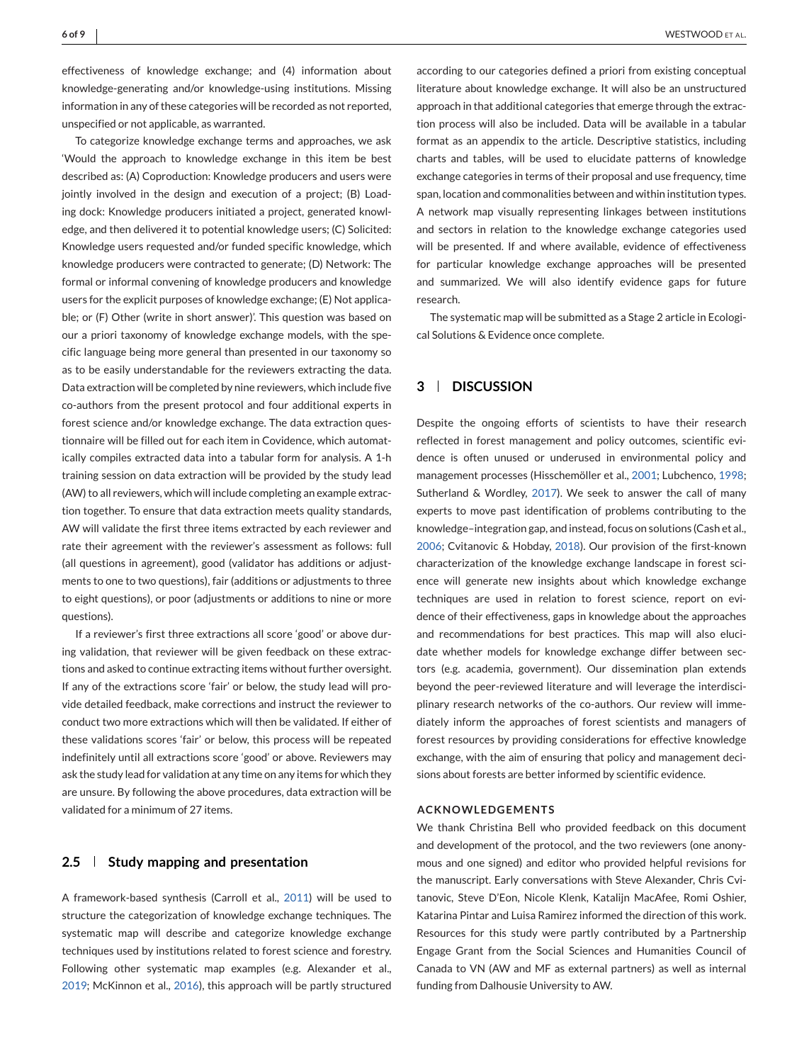effectiveness of knowledge exchange; and (4) information about knowledge-generating and/or knowledge-using institutions. Missing information in any of these categories will be recorded as not reported, unspecified or not applicable, as warranted.

To categorize knowledge exchange terms and approaches, we ask 'Would the approach to knowledge exchange in this item be best described as: (A) Coproduction: Knowledge producers and users were jointly involved in the design and execution of a project; (B) Loading dock: Knowledge producers initiated a project, generated knowledge, and then delivered it to potential knowledge users; (C) Solicited: Knowledge users requested and/or funded specific knowledge, which knowledge producers were contracted to generate; (D) Network: The formal or informal convening of knowledge producers and knowledge users for the explicit purposes of knowledge exchange; (E) Not applicable; or (F) Other (write in short answer)'. This question was based on our a priori taxonomy of knowledge exchange models, with the specific language being more general than presented in our taxonomy so as to be easily understandable for the reviewers extracting the data. Data extraction will be completed by nine reviewers, which include five co-authors from the present protocol and four additional experts in forest science and/or knowledge exchange. The data extraction questionnaire will be filled out for each item in Covidence, which automatically compiles extracted data into a tabular form for analysis. A 1-h training session on data extraction will be provided by the study lead (AW) to all reviewers, which will include completing an example extraction together. To ensure that data extraction meets quality standards, AW will validate the first three items extracted by each reviewer and rate their agreement with the reviewer's assessment as follows: full (all questions in agreement), good (validator has additions or adjustments to one to two questions), fair (additions or adjustments to three to eight questions), or poor (adjustments or additions to nine or more questions).

If a reviewer's first three extractions all score 'good' or above during validation, that reviewer will be given feedback on these extractions and asked to continue extracting items without further oversight. If any of the extractions score 'fair' or below, the study lead will provide detailed feedback, make corrections and instruct the reviewer to conduct two more extractions which will then be validated. If either of these validations scores 'fair' or below, this process will be repeated indefinitely until all extractions score 'good' or above. Reviewers may ask the study lead for validation at any time on any items for which they are unsure. By following the above procedures, data extraction will be validated for a minimum of 27 items.

## **2.5 Study mapping and presentation**

A framework-based synthesis (Carroll et al., [2011\)](#page-6-0) will be used to structure the categorization of knowledge exchange techniques. The systematic map will describe and categorize knowledge exchange techniques used by institutions related to forest science and forestry. Following other systematic map examples (e.g. Alexander et al., [2019;](#page-6-0) McKinnon et al., [2016\)](#page-7-0), this approach will be partly structured

according to our categories defined a priori from existing conceptual literature about knowledge exchange. It will also be an unstructured approach in that additional categories that emerge through the extraction process will also be included. Data will be available in a tabular format as an appendix to the article. Descriptive statistics, including charts and tables, will be used to elucidate patterns of knowledge exchange categories in terms of their proposal and use frequency, time span, location and commonalities between and within institution types. A network map visually representing linkages between institutions and sectors in relation to the knowledge exchange categories used will be presented. If and where available, evidence of effectiveness for particular knowledge exchange approaches will be presented and summarized. We will also identify evidence gaps for future research.

The systematic map will be submitted as a Stage 2 article in Ecological Solutions & Evidence once complete.

# **3 DISCUSSION**

Despite the ongoing efforts of scientists to have their research reflected in forest management and policy outcomes, scientific evidence is often unused or underused in environmental policy and management processes (Hisschemöller et al., [2001;](#page-7-0) Lubchenco, [1998;](#page-7-0) Sutherland & Wordley, [2017\)](#page-7-0). We seek to answer the call of many experts to move past identification of problems contributing to the knowledge–integration gap, and instead, focus on solutions (Cash et al., [2006;](#page-6-0) Cvitanovic & Hobday, [2018\)](#page-6-0). Our provision of the first-known characterization of the knowledge exchange landscape in forest science will generate new insights about which knowledge exchange techniques are used in relation to forest science, report on evidence of their effectiveness, gaps in knowledge about the approaches and recommendations for best practices. This map will also elucidate whether models for knowledge exchange differ between sectors (e.g. academia, government). Our dissemination plan extends beyond the peer-reviewed literature and will leverage the interdisciplinary research networks of the co-authors. Our review will immediately inform the approaches of forest scientists and managers of forest resources by providing considerations for effective knowledge exchange, with the aim of ensuring that policy and management decisions about forests are better informed by scientific evidence.

# **ACKNOWLEDGEMENTS**

We thank Christina Bell who provided feedback on this document and development of the protocol, and the two reviewers (one anonymous and one signed) and editor who provided helpful revisions for the manuscript. Early conversations with Steve Alexander, Chris Cvitanovic, Steve D'Eon, Nicole Klenk, Katalijn MacAfee, Romi Oshier, Katarina Pintar and Luisa Ramirez informed the direction of this work. Resources for this study were partly contributed by a Partnership Engage Grant from the Social Sciences and Humanities Council of Canada to VN (AW and MF as external partners) as well as internal funding from Dalhousie University to AW.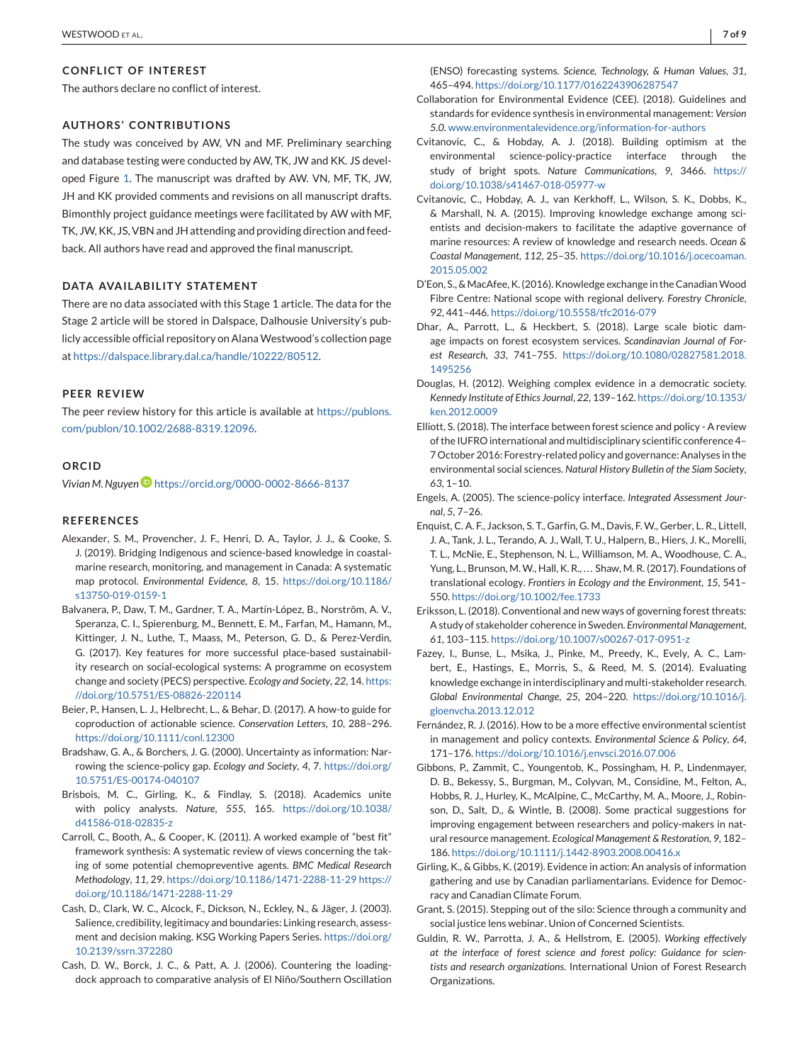## <span id="page-6-0"></span>**CONFLICT OF INTEREST**

The authors declare no conflict of interest.

## **AUTHORS' CONTRIBUTIONS**

The study was conceived by AW, VN and MF. Preliminary searching and database testing were conducted by AW, TK, JW and KK. JS developed Figure [1.](#page-4-0) The manuscript was drafted by AW. VN, MF, TK, JW, JH and KK provided comments and revisions on all manuscript drafts. Bimonthly project guidance meetings were facilitated by AW with MF, TK, JW, KK, JS, VBN and JH attending and providing direction and feedback. All authors have read and approved the final manuscript.

## **DATA AVAILABILITY STATEMENT**

There are no data associated with this Stage 1 article. The data for the Stage 2 article will be stored in Dalspace, Dalhousie University's publicly accessible official repository on Alana Westwood's collection page at [https://dalspace.library.dal.ca/handle/10222/80512.](https://dalspace.library.dal.ca/handle/10222/80512)

## **PEER REVIEW**

The peer review history for this article is available at [https://publons.](https://publons.com/publon/10.1002/2688-8319.12096) [com/publon/10.1002/2688-8319.12096.](https://publons.com/publon/10.1002/2688-8319.12096)

#### **ORCID**

*Vivian M. Nguye[n](https://orcid.org/0000-0002-8666-8137)* <https://orcid.org/0000-0002-8666-8137>

## **REFERENCES**

- Alexander, S. M., Provencher, J. F., Henri, D. A., Taylor, J. J., & Cooke, S. J. (2019). Bridging Indigenous and science-based knowledge in coastalmarine research, monitoring, and management in Canada: A systematic map protocol. *Environmental Evidence*, *8*, 15. [https://doi.org/10.1186/](https://doi.org/10.1186/s13750-019-0159-1) [s13750-019-0159-1](https://doi.org/10.1186/s13750-019-0159-1)
- Balvanera, P., Daw, T. M., Gardner, T. A., Martín-López, B., Norström, A. V., Speranza, C. I., Spierenburg, M., Bennett, E. M., Farfan, M., Hamann, M., Kittinger, J. N., Luthe, T., Maass, M., Peterson, G. D., & Perez-Verdin, G. (2017). Key features for more successful place-based sustainability research on social-ecological systems: A programme on ecosystem change and society (PECS) perspective. *Ecology and Society*, *22*, 14. [https:](https://doi.org/10.5751/ES-08826-220114) [//doi.org/10.5751/ES-08826-220114](https://doi.org/10.5751/ES-08826-220114)
- Beier, P., Hansen, L. J., Helbrecht, L., & Behar, D. (2017). A how-to guide for coproduction of actionable science. *Conservation Letters*, *10*, 288–296. <https://doi.org/10.1111/conl.12300>
- Bradshaw, G. A., & Borchers, J. G. (2000). Uncertainty as information: Narrowing the science-policy gap. *Ecology and Society*, *4*, 7. [https://doi.org/](https://doi.org/10.5751/ES-00174-040107) [10.5751/ES-00174-040107](https://doi.org/10.5751/ES-00174-040107)
- Brisbois, M. C., Girling, K., & Findlay, S. (2018). Academics unite with policy analysts. *Nature*, *555*, 165. [https://doi.org/10.1038/](https://doi.org/10.1038/d41586-018-02835-z) [d41586-018-02835-z](https://doi.org/10.1038/d41586-018-02835-z)
- Carroll, C., Booth, A., & Cooper, K. (2011). A worked example of "best fit" framework synthesis: A systematic review of views concerning the taking of some potential chemopreventive agents. *BMC Medical Research Methodology*, *11*, 29. [https://doi.org/10.1186/1471-2288-11-29 https://](https://doi.org/10.1186/1471-2288-11-29) [doi.org/10.1186/1471-2288-11-29](https://doi.org/10.1186/1471-2288-11-29)
- Cash, D., Clark, W. C., Alcock, F., Dickson, N., Eckley, N., & Jäger, J. (2003). Salience, credibility, legitimacy and boundaries: Linking research, assessment and decision making. KSG Working Papers Series. [https://doi.org/](https://doi.org/10.2139/ssrn.372280) [10.2139/ssrn.372280](https://doi.org/10.2139/ssrn.372280)
- Cash, D. W., Borck, J. C., & Patt, A. J. (2006). Countering the loadingdock approach to comparative analysis of El Niño/Southern Oscillation

(ENSO) forecasting systems. *Science, Technology, & Human Values*, *31*, 465–494. <https://doi.org/10.1177/0162243906287547>

- Collaboration for Environmental Evidence (CEE). (2018). Guidelines and standards for evidence synthesis in environmental management: *Version 5.0*. [www.environmentalevidence.org/information-for-authors](http://www.environmentalevidence.org/information-for-authors)
- Cvitanovic, C., & Hobday, A. J. (2018). Building optimism at the environmental science-policy-practice interface through the study of bright spots. *Nature Communications*, *9*, 3466. [https://](https://doi.org/10.1038/s41467-018-05977-w) [doi.org/10.1038/s41467-018-05977-w](https://doi.org/10.1038/s41467-018-05977-w)
- Cvitanovic, C., Hobday, A. J., van Kerkhoff, L., Wilson, S. K., Dobbs, K., & Marshall, N. A. (2015). Improving knowledge exchange among scientists and decision-makers to facilitate the adaptive governance of marine resources: A review of knowledge and research needs. *Ocean & Coastal Management*, *112*, 25–35. [https://doi.org/10.1016/j.ocecoaman.](https://doi.org/10.1016/j.ocecoaman.2015.05.002) [2015.05.002](https://doi.org/10.1016/j.ocecoaman.2015.05.002)
- D'Eon, S., &MacAfee, K. (2016). Knowledge exchange in the CanadianWood Fibre Centre: National scope with regional delivery. *Forestry Chronicle*, *92*, 441–446. <https://doi.org/10.5558/tfc2016-079>
- Dhar, A., Parrott, L., & Heckbert, S. (2018). Large scale biotic damage impacts on forest ecosystem services. *Scandinavian Journal of Forest Research*, *33*, 741–755. [https://doi.org/10.1080/02827581.2018.](https://doi.org/10.1080/02827581.2018.1495256) [1495256](https://doi.org/10.1080/02827581.2018.1495256)
- Douglas, H. (2012). Weighing complex evidence in a democratic society. *Kennedy Institute of Ethics Journal*, *22*, 139–162. [https://doi.org/10.1353/](https://doi.org/10.1353/ken.2012.0009) [ken.2012.0009](https://doi.org/10.1353/ken.2012.0009)
- Elliott, S. (2018). The interface between forest science and policy A review of the IUFRO international and multidisciplinary scientific conference 4– 7 October 2016: Forestry-related policy and governance: Analyses in the environmental social sciences. *Natural History Bulletin of the Siam Society*, *63*, 1–10.
- Engels, A. (2005). The science-policy interface. *Integrated Assessment Journal*, *5*, 7–26.
- Enquist, C. A. F., Jackson, S. T., Garfin, G. M., Davis, F. W., Gerber, L. R., Littell, J. A., Tank, J. L., Terando, A. J., Wall, T. U., Halpern, B., Hiers, J. K., Morelli, T. L., McNie, E., Stephenson, N. L., Williamson, M. A., Woodhouse, C. A., Yung, L., Brunson, M. W., Hall, K. R., ... Shaw, M. R. (2017). Foundations of translational ecology. *Frontiers in Ecology and the Environment*, *15*, 541– 550. <https://doi.org/10.1002/fee.1733>
- Eriksson, L. (2018). Conventional and new ways of governing forest threats: A study of stakeholder coherence in Sweden. *Environmental Management*, *61*, 103–115. <https://doi.org/10.1007/s00267-017-0951-z>
- Fazey, I., Bunse, L., Msika, J., Pinke, M., Preedy, K., Evely, A. C., Lambert, E., Hastings, E., Morris, S., & Reed, M. S. (2014). Evaluating knowledge exchange in interdisciplinary and multi-stakeholder research. *Global Environmental Change*, *25*, 204–220. [https://doi.org/10.1016/j.](https://doi.org/10.1016/j.gloenvcha.2013.12.012) [gloenvcha.2013.12.012](https://doi.org/10.1016/j.gloenvcha.2013.12.012)
- Fernández, R. J. (2016). How to be a more effective environmental scientist in management and policy contexts. *Environmental Science & Policy*, *64*, 171–176. <https://doi.org/10.1016/j.envsci.2016.07.006>
- Gibbons, P., Zammit, C., Youngentob, K., Possingham, H. P., Lindenmayer, D. B., Bekessy, S., Burgman, M., Colyvan, M., Considine, M., Felton, A., Hobbs, R. J., Hurley, K., McAlpine, C., McCarthy, M. A., Moore, J., Robinson, D., Salt, D., & Wintle, B. (2008). Some practical suggestions for improving engagement between researchers and policy-makers in natural resource management. *Ecological Management & Restoration*, *9*, 182– 186. <https://doi.org/10.1111/j.1442-8903.2008.00416.x>
- Girling, K., & Gibbs, K. (2019). Evidence in action: An analysis of information gathering and use by Canadian parliamentarians. Evidence for Democracy and Canadian Climate Forum.
- Grant, S. (2015). Stepping out of the silo: Science through a community and social justice lens webinar. Union of Concerned Scientists.
- Guldin, R. W., Parrotta, J. A., & Hellstrom, E. (2005). *Working effectively at the interface of forest science and forest policy: Guidance for scientists and research organizations*. International Union of Forest Research Organizations.